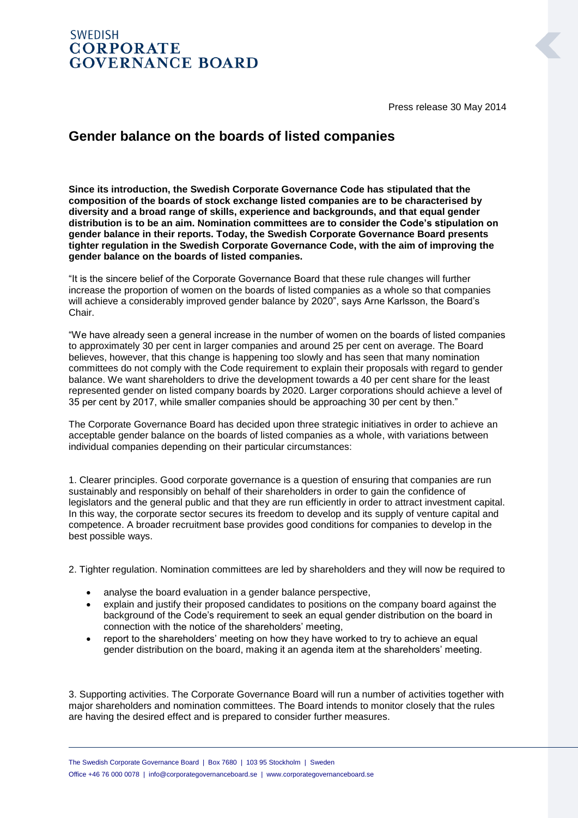## **SWEDISH CORPORATE GOVERNANCE BOARD**

Press release 30 May 2014

## **Gender balance on the boards of listed companies**

**Since its introduction, the Swedish Corporate Governance Code has stipulated that the composition of the boards of stock exchange listed companies are to be characterised by diversity and a broad range of skills, experience and backgrounds, and that equal gender distribution is to be an aim. Nomination committees are to consider the Code's stipulation on gender balance in their reports. Today, the Swedish Corporate Governance Board presents tighter regulation in the Swedish Corporate Governance Code, with the aim of improving the gender balance on the boards of listed companies.**

"It is the sincere belief of the Corporate Governance Board that these rule changes will further increase the proportion of women on the boards of listed companies as a whole so that companies will achieve a considerably improved gender balance by 2020", says Arne Karlsson, the Board's Chair.

"We have already seen a general increase in the number of women on the boards of listed companies to approximately 30 per cent in larger companies and around 25 per cent on average. The Board believes, however, that this change is happening too slowly and has seen that many nomination committees do not comply with the Code requirement to explain their proposals with regard to gender balance. We want shareholders to drive the development towards a 40 per cent share for the least represented gender on listed company boards by 2020. Larger corporations should achieve a level of 35 per cent by 2017, while smaller companies should be approaching 30 per cent by then."

The Corporate Governance Board has decided upon three strategic initiatives in order to achieve an acceptable gender balance on the boards of listed companies as a whole, with variations between individual companies depending on their particular circumstances:

1. Clearer principles. Good corporate governance is a question of ensuring that companies are run sustainably and responsibly on behalf of their shareholders in order to gain the confidence of legislators and the general public and that they are run efficiently in order to attract investment capital. In this way, the corporate sector secures its freedom to develop and its supply of venture capital and competence. A broader recruitment base provides good conditions for companies to develop in the best possible ways.

2. Tighter regulation. Nomination committees are led by shareholders and they will now be required to

- analyse the board evaluation in a gender balance perspective,
- explain and justify their proposed candidates to positions on the company board against the background of the Code's requirement to seek an equal gender distribution on the board in connection with the notice of the shareholders' meeting,
- report to the shareholders' meeting on how they have worked to try to achieve an equal gender distribution on the board, making it an agenda item at the shareholders' meeting.

3. Supporting activities. The Corporate Governance Board will run a number of activities together with major shareholders and nomination committees. The Board intends to monitor closely that the rules are having the desired effect and is prepared to consider further measures.